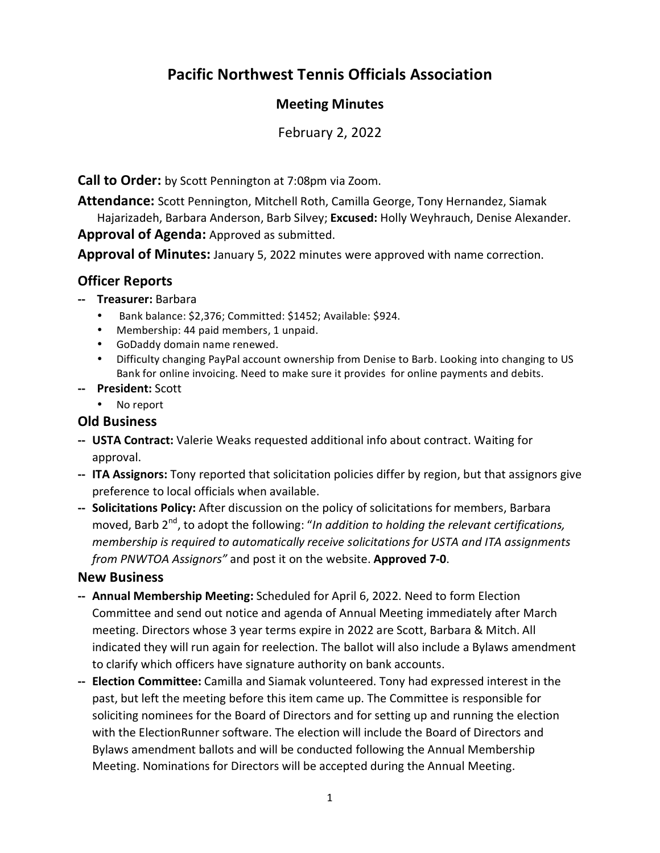# **Pacific Northwest Tennis Officials Association**

# **Meeting Minutes**

February 2, 2022

**Call to Order:** by Scott Pennington at 7:08pm via Zoom.

**Attendance:** Scott Pennington, Mitchell Roth, Camilla George, Tony Hernandez, Siamak Hajarizadeh, Barbara Anderson, Barb Silvey; **Excused:** Holly Weyhrauch, Denise Alexander. **Approval of Agenda:** Approved as submitted.

**Approval of Minutes:** January 5, 2022 minutes were approved with name correction.

# **Officer Reports**

- **‐‐ Treasurer:** Barbara
	- Bank balance: \$2,376; Committed: \$1452; Available: \$924.
	- Membership: 44 paid members, 1 unpaid.
	- GoDaddy domain name renewed.
	- Difficulty changing PayPal account ownership from Denise to Barb. Looking into changing to US Bank for online invoicing. Need to make sure it provides for online payments and debits.
- **‐‐ President:** Scott
	- No report

# **Old Business**

- **‐‐ USTA Contract:** Valerie Weaks requested additional info about contract. Waiting for approval.
- **‐‐ ITA Assignors:** Tony reported that solicitation policies differ by region, but that assignors give preference to local officials when available.
- **‐‐ Solicitations Policy:** After discussion on the policy of solicitations for members, Barbara moved, Barb 2<sup>nd</sup>, to adopt the following: "*In addition to holding the relevant certifications, membership is required to automatically receive solicitations for USTA and ITA assignments from PNWTOA Assignors"* and post it on the website. **Approved 7‐0**.

#### **New Business**

- **‐‐ Annual Membership Meeting:** Scheduled for April 6, 2022. Need to form Election Committee and send out notice and agenda of Annual Meeting immediately after March meeting. Directors whose 3 year terms expire in 2022 are Scott, Barbara & Mitch. All indicated they will run again for reelection. The ballot will also include a Bylaws amendment to clarify which officers have signature authority on bank accounts.
- **‐‐ Election Committee:** Camilla and Siamak volunteered. Tony had expressed interest in the past, but left the meeting before this item came up. The Committee is responsible for soliciting nominees for the Board of Directors and for setting up and running the election with the ElectionRunner software. The election will include the Board of Directors and Bylaws amendment ballots and will be conducted following the Annual Membership Meeting. Nominations for Directors will be accepted during the Annual Meeting.